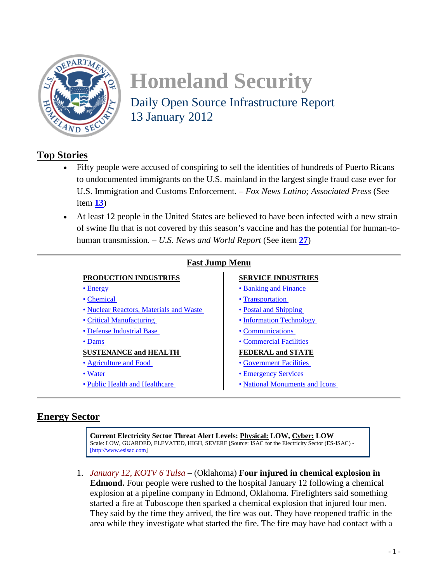

# **Homeland Security**  Daily Open Source Infrastructure Report 13 January 2012

# **Top Stories**

- Fifty people were accused of conspiring to sell the identities of hundreds of Puerto Ricans to undocumented immigrants on the U.S. mainland in the largest single fraud case ever for U.S. Immigration and Customs Enforcement. – *Fox News Latino; Associated Press* (See item **[13](#page-4-0)**)
- At least 12 people in the United States are believed to have been infected with a new strain of swine flu that is not covered by this season's vaccine and has the potential for human-tohuman transmission. – *U.S. News and World Report* (See item **[27](#page-9-0)**)

| <b>Fast Jump Menu</b>                   |                                |
|-----------------------------------------|--------------------------------|
| <b>PRODUCTION INDUSTRIES</b>            | <b>SERVICE INDUSTRIES</b>      |
| $\bullet$ Energy                        | • Banking and Finance          |
| • Chemical                              | • Transportation               |
| • Nuclear Reactors, Materials and Waste | • Postal and Shipping          |
| • Critical Manufacturing                | • Information Technology       |
| • Defense Industrial Base               | • Communications               |
| $\bullet$ Dams                          | • Commercial Facilities        |
| <b>SUSTENANCE and HEALTH</b>            | <b>FEDERAL and STATE</b>       |
| • Agriculture and Food                  | • Government Facilities        |
| • Water                                 | • Emergency Services           |
| • Public Health and Healthcare          | • National Monuments and Icons |
|                                         |                                |

# <span id="page-0-0"></span>**Energy Sector**

**Current Electricity Sector Threat Alert Levels: Physical: LOW, Cyber: LOW** Scale: LOW, GUARDED, ELEVATED, HIGH, SEVERE [Source: ISAC for the Electricity Sector (ES-ISAC) - [\[http://www.esisac.com\]](http://www.esisac.com/)

<span id="page-0-1"></span>1. *January 12, KOTV 6 Tulsa* – (Oklahoma) **Four injured in chemical explosion in Edmond.** Four people were rushed to the hospital January 12 following a chemical explosion at a pipeline company in Edmond, Oklahoma. Firefighters said something started a fire at Tuboscope then sparked a chemical explosion that injured four men. They said by the time they arrived, the fire was out. They have reopened traffic in the area while they investigate what started the fire. The fire may have had contact with a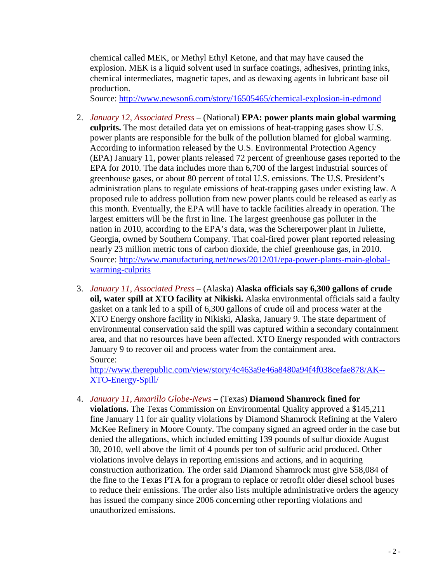chemical called MEK, or Methyl Ethyl Ketone, and that may have caused the explosion. MEK is a liquid solvent used in surface coatings, adhesives, printing inks, chemical intermediates, magnetic tapes, and as dewaxing agents in lubricant base oil production.

Source:<http://www.newson6.com/story/16505465/chemical-explosion-in-edmond>

- 2. *January 12, Associated Press* (National) **EPA: power plants main global warming culprits.** The most detailed data yet on emissions of heat-trapping gases show U.S. power plants are responsible for the bulk of the pollution blamed for global warming. According to information released by the U.S. Environmental Protection Agency (EPA) January 11, power plants released 72 percent of greenhouse gases reported to the EPA for 2010. The data includes more than 6,700 of the largest industrial sources of greenhouse gases, or about 80 percent of total U.S. emissions. The U.S. President's administration plans to regulate emissions of heat-trapping gases under existing law. A proposed rule to address pollution from new power plants could be released as early as this month. Eventually, the EPA will have to tackle facilities already in operation. The largest emitters will be the first in line. The largest greenhouse gas polluter in the nation in 2010, according to the EPA's data, was the Schererpower plant in Juliette, Georgia, owned by Southern Company. That coal-fired power plant reported releasing nearly 23 million metric tons of carbon dioxide, the chief greenhouse gas, in 2010. Source: [http://www.manufacturing.net/news/2012/01/epa-power-plants-main-global](http://www.manufacturing.net/news/2012/01/epa-power-plants-main-global-warming-culprits)[warming-culprits](http://www.manufacturing.net/news/2012/01/epa-power-plants-main-global-warming-culprits)
- 3. *January 11, Associated Press* (Alaska) **Alaska officials say 6,300 gallons of crude oil, water spill at XTO facility at Nikiski.** Alaska environmental officials said a faulty gasket on a tank led to a spill of 6,300 gallons of crude oil and process water at the XTO Energy onshore facility in Nikiski, Alaska, January 9. The state department of environmental conservation said the spill was captured within a secondary containment area, and that no resources have been affected. XTO Energy responded with contractors January 9 to recover oil and process water from the containment area. Source:

[http://www.therepublic.com/view/story/4c463a9e46a8480a94f4f038cefae878/AK--](http://www.therepublic.com/view/story/4c463a9e46a8480a94f4f038cefae878/AK--XTO-Energy-Spill/) [XTO-Energy-Spill/](http://www.therepublic.com/view/story/4c463a9e46a8480a94f4f038cefae878/AK--XTO-Energy-Spill/)

4. *January 11, Amarillo Globe-News* – (Texas) **Diamond Shamrock fined for violations.** The Texas Commission on Environmental Quality approved a \$145,211 fine January 11 for air quality violations by Diamond Shamrock Refining at the Valero McKee Refinery in Moore County. The company signed an agreed order in the case but denied the allegations, which included emitting 139 pounds of sulfur dioxide August 30, 2010, well above the limit of 4 pounds per ton of sulfuric acid produced. Other violations involve delays in reporting emissions and actions, and in acquiring construction authorization. The order said Diamond Shamrock must give \$58,084 of the fine to the Texas PTA for a program to replace or retrofit older diesel school buses to reduce their emissions. The order also lists multiple administrative orders the agency has issued the company since 2006 concerning other reporting violations and unauthorized emissions.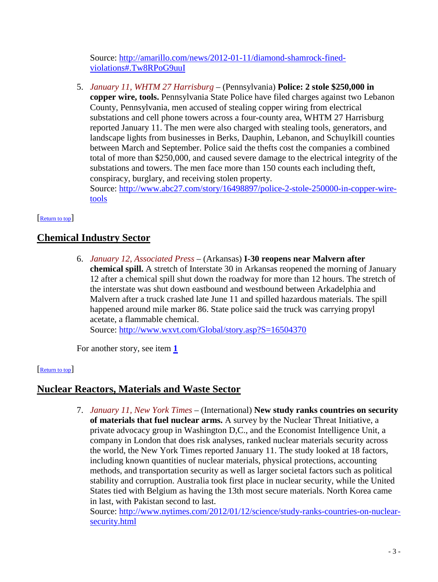Source: [http://amarillo.com/news/2012-01-11/diamond-shamrock-fined](http://amarillo.com/news/2012-01-11/diamond-shamrock-fined-violations#.Tw8RPoG9uuI)[violations#.Tw8RPoG9uuI](http://amarillo.com/news/2012-01-11/diamond-shamrock-fined-violations#.Tw8RPoG9uuI)

<span id="page-2-3"></span>5. *January 11, WHTM 27 Harrisburg* – (Pennsylvania) **Police: 2 stole \$250,000 in copper wire, tools.** Pennsylvania State Police have filed charges against two Lebanon County, Pennsylvania, men accused of stealing copper wiring from electrical substations and cell phone towers across a four-county area, WHTM 27 Harrisburg reported January 11. The men were also charged with stealing tools, generators, and landscape lights from businesses in Berks, Dauphin, Lebanon, and Schuylkill counties between March and September. Police said the thefts cost the companies a combined total of more than \$250,000, and caused severe damage to the electrical integrity of the substations and towers. The men face more than 150 counts each including theft, conspiracy, burglary, and receiving stolen property.

<span id="page-2-0"></span>Source: [http://www.abc27.com/story/16498897/police-2-stole-250000-in-copper-wire](http://www.abc27.com/story/16498897/police-2-stole-250000-in-copper-wire-tools)[tools](http://www.abc27.com/story/16498897/police-2-stole-250000-in-copper-wire-tools)

## [Return to top]

# <span id="page-2-2"></span>**Chemical Industry Sector**

6. *January 12, Associated Press* – (Arkansas) **I-30 reopens near Malvern after chemical spill.** A stretch of Interstate 30 in Arkansas reopened the morning of January 12 after a chemical spill shut down the roadway for more than 12 hours. The stretch of the interstate was shut down eastbound and westbound between Arkadelphia and Malvern after a truck crashed late June 11 and spilled hazardous materials. The spill happened around mile marker 86. State police said the truck was carrying propyl acetate, a flammable chemical.

Source:<http://www.wxvt.com/Global/story.asp?S=16504370>

<span id="page-2-1"></span>For another story, see item **[1](#page-0-1)**

### [Return to top]

# **Nuclear Reactors, Materials and Waste Sector**

7. *January 11, New York Times* – (International) **New study ranks countries on security of materials that fuel nuclear arms.** A survey by the Nuclear Threat Initiative, a private advocacy group in Washington D,C., and the Economist Intelligence Unit, a company in London that does risk analyses, ranked nuclear materials security across the world, the New York Times reported January 11. The study looked at 18 factors, including known quantities of nuclear materials, physical protections, accounting methods, and transportation security as well as larger societal factors such as political stability and corruption. Australia took first place in nuclear security, while the United States tied with Belgium as having the 13th most secure materials. North Korea came in last, with Pakistan second to last.

Source: [http://www.nytimes.com/2012/01/12/science/study-ranks-countries-on-nuclear](http://www.nytimes.com/2012/01/12/science/study-ranks-countries-on-nuclear-security.html)[security.html](http://www.nytimes.com/2012/01/12/science/study-ranks-countries-on-nuclear-security.html)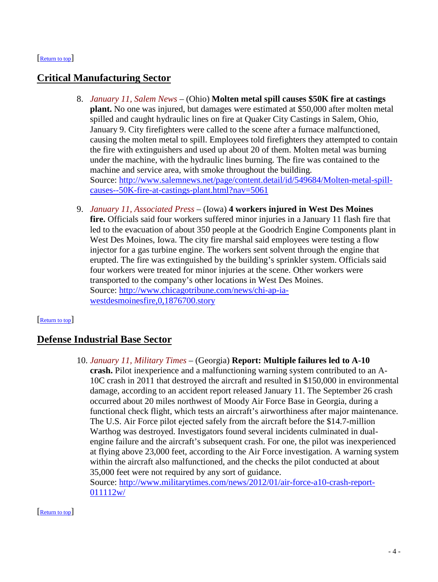#### <span id="page-3-1"></span>[Return to top]

# **Critical Manufacturing Sector**

- 8. *January 11, Salem News* (Ohio) **Molten metal spill causes \$50K fire at castings plant.** No one was injured, but damages were estimated at \$50,000 after molten metal spilled and caught hydraulic lines on fire at Quaker City Castings in Salem, Ohio, January 9. City firefighters were called to the scene after a furnace malfunctioned, causing the molten metal to spill. Employees told firefighters they attempted to contain the fire with extinguishers and used up about 20 of them. Molten metal was burning under the machine, with the hydraulic lines burning. The fire was contained to the machine and service area, with smoke throughout the building. Source: [http://www.salemnews.net/page/content.detail/id/549684/Molten-metal-spill](http://www.salemnews.net/page/content.detail/id/549684/Molten-metal-spill-causes--50K-fire-at-castings-plant.html?nav=5061)[causes--50K-fire-at-castings-plant.html?nav=5061](http://www.salemnews.net/page/content.detail/id/549684/Molten-metal-spill-causes--50K-fire-at-castings-plant.html?nav=5061)
- 9. *January 11, Associated Press* (Iowa) **4 workers injured in West Des Moines fire.** Officials said four workers suffered minor injuries in a January 11 flash fire that led to the evacuation of about 350 people at the Goodrich Engine Components plant in West Des Moines, Iowa. The city fire marshal said employees were testing a flow injector for a gas turbine engine. The workers sent solvent through the engine that erupted. The fire was extinguished by the building's sprinkler system. Officials said four workers were treated for minor injuries at the scene. Other workers were transported to the company's other locations in West Des Moines. Source: [http://www.chicagotribune.com/news/chi-ap-ia](http://www.chicagotribune.com/news/chi-ap-ia-westdesmoinesfire,0,1876700.story)[westdesmoinesfire,0,1876700.story](http://www.chicagotribune.com/news/chi-ap-ia-westdesmoinesfire,0,1876700.story)

### <span id="page-3-2"></span>[Return to top]

### **Defense Industrial Base Sector**

10. *January 11, Military Times* – (Georgia) **Report: Multiple failures led to A-10 crash.** Pilot inexperience and a malfunctioning warning system contributed to an A-10C crash in 2011 that destroyed the aircraft and resulted in \$150,000 in environmental damage, according to an accident report released January 11. The September 26 crash occurred about 20 miles northwest of Moody Air Force Base in Georgia, during a functional check flight, which tests an aircraft's airworthiness after major maintenance. The U.S. Air Force pilot ejected safely from the aircraft before the \$14.7-million Warthog was destroyed. Investigators found several incidents culminated in dualengine failure and the aircraft's subsequent crash. For one, the pilot was inexperienced at flying above 23,000 feet, according to the Air Force investigation. A warning system within the aircraft also malfunctioned, and the checks the pilot conducted at about 35,000 feet were not required by any sort of guidance. Source: [http://www.militarytimes.com/news/2012/01/air-force-a10-crash-report-](http://www.militarytimes.com/news/2012/01/air-force-a10-crash-report-011112w/)[011112w/](http://www.militarytimes.com/news/2012/01/air-force-a10-crash-report-011112w/)

<span id="page-3-0"></span>[Return to top]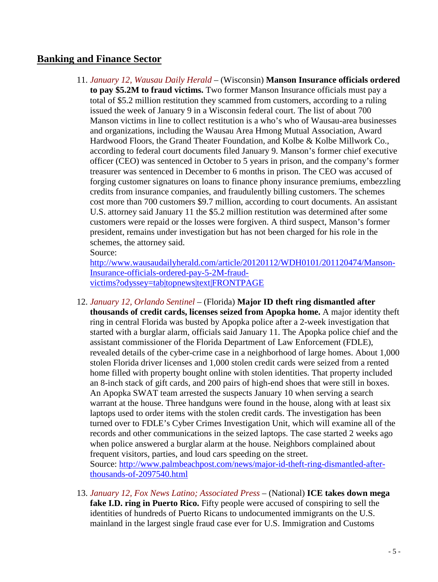# **Banking and Finance Sector**

11. *January 12, Wausau Daily Herald* – (Wisconsin) **Manson Insurance officials ordered to pay \$5.2M to fraud victims.** Two former Manson Insurance officials must pay a total of \$5.2 million restitution they scammed from customers, according to a ruling issued the week of January 9 in a Wisconsin federal court. The list of about 700 Manson victims in line to collect restitution is a who's who of Wausau-area businesses and organizations, including the Wausau Area Hmong Mutual Association, Award Hardwood Floors, the Grand Theater Foundation, and Kolbe & Kolbe Millwork Co., according to federal court documents filed January 9. Manson's former chief executive officer (CEO) was sentenced in October to 5 years in prison, and the company's former treasurer was sentenced in December to 6 months in prison. The CEO was accused of forging customer signatures on loans to finance phony insurance premiums, embezzling credits from insurance companies, and fraudulently billing customers. The schemes cost more than 700 customers \$9.7 million, according to court documents. An assistant U.S. attorney said January 11 the \$5.2 million restitution was determined after some customers were repaid or the losses were forgiven. A third suspect, Manson's former president, remains under investigation but has not been charged for his role in the schemes, the attorney said.

Source:

[http://www.wausaudailyherald.com/article/20120112/WDH0101/201120474/Manson-](http://www.wausaudailyherald.com/article/20120112/WDH0101/201120474/Manson-Insurance-officials-ordered-pay-5-2M-fraud-victims?odyssey=tab|topnews|text|FRONTPAGE)[Insurance-officials-ordered-pay-5-2M-fraud](http://www.wausaudailyherald.com/article/20120112/WDH0101/201120474/Manson-Insurance-officials-ordered-pay-5-2M-fraud-victims?odyssey=tab|topnews|text|FRONTPAGE)[victims?odyssey=tab|topnews|text|FRONTPAGE](http://www.wausaudailyherald.com/article/20120112/WDH0101/201120474/Manson-Insurance-officials-ordered-pay-5-2M-fraud-victims?odyssey=tab|topnews|text|FRONTPAGE)

- <span id="page-4-1"></span>12. *January 12, Orlando Sentinel* – (Florida) **Major ID theft ring dismantled after thousands of credit cards, licenses seized from Apopka home.** A major identity theft ring in central Florida was busted by Apopka police after a 2-week investigation that started with a burglar alarm, officials said January 11. The Apopka police chief and the assistant commissioner of the Florida Department of Law Enforcement (FDLE), revealed details of the cyber-crime case in a neighborhood of large homes. About 1,000 stolen Florida driver licenses and 1,000 stolen credit cards were seized from a rented home filled with property bought online with stolen identities. That property included an 8-inch stack of gift cards, and 200 pairs of high-end shoes that were still in boxes. An Apopka SWAT team arrested the suspects January 10 when serving a search warrant at the house. Three handguns were found in the house, along with at least six laptops used to order items with the stolen credit cards. The investigation has been turned over to FDLE's Cyber Crimes Investigation Unit, which will examine all of the records and other communications in the seized laptops. The case started 2 weeks ago when police answered a burglar alarm at the house. Neighbors complained about frequent visitors, parties, and loud cars speeding on the street. Source: [http://www.palmbeachpost.com/news/major-id-theft-ring-dismantled-after](http://www.palmbeachpost.com/news/major-id-theft-ring-dismantled-after-thousands-of-2097540.html)[thousands-of-2097540.html](http://www.palmbeachpost.com/news/major-id-theft-ring-dismantled-after-thousands-of-2097540.html)
- <span id="page-4-0"></span>13. *January 12, Fox News Latino; Associated Press* – (National) **ICE takes down mega fake I.D. ring in Puerto Rico.** Fifty people were accused of conspiring to sell the identities of hundreds of Puerto Ricans to undocumented immigrants on the U.S. mainland in the largest single fraud case ever for U.S. Immigration and Customs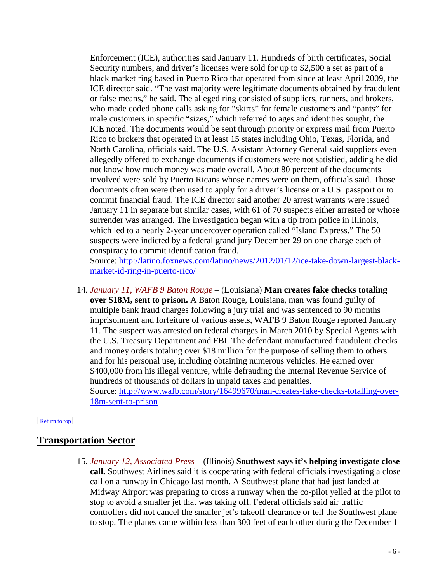Enforcement (ICE), authorities said January 11. Hundreds of birth certificates, Social Security numbers, and driver's licenses were sold for up to \$2,500 a set as part of a black market ring based in Puerto Rico that operated from since at least April 2009, the ICE director said. "The vast majority were legitimate documents obtained by fraudulent or false means," he said. The alleged ring consisted of suppliers, runners, and brokers, who made coded phone calls asking for "skirts" for female customers and "pants" for male customers in specific "sizes," which referred to ages and identities sought, the ICE noted. The documents would be sent through priority or express mail from Puerto Rico to brokers that operated in at least 15 states including Ohio, Texas, Florida, and North Carolina, officials said. The U.S. Assistant Attorney General said suppliers even allegedly offered to exchange documents if customers were not satisfied, adding he did not know how much money was made overall. About 80 percent of the documents involved were sold by Puerto Ricans whose names were on them, officials said. Those documents often were then used to apply for a driver's license or a U.S. passport or to commit financial fraud. The ICE director said another 20 arrest warrants were issued January 11 in separate but similar cases, with 61 of 70 suspects either arrested or whose surrender was arranged. The investigation began with a tip from police in Illinois, which led to a nearly 2-year undercover operation called "Island Express." The 50 suspects were indicted by a federal grand jury December 29 on one charge each of conspiracy to commit identification fraud.

Source: [http://latino.foxnews.com/latino/news/2012/01/12/ice-take-down-largest-black](http://latino.foxnews.com/latino/news/2012/01/12/ice-take-down-largest-black-market-id-ring-in-puerto-rico/)[market-id-ring-in-puerto-rico/](http://latino.foxnews.com/latino/news/2012/01/12/ice-take-down-largest-black-market-id-ring-in-puerto-rico/)

14. *January 11, WAFB 9 Baton Rouge* – (Louisiana) **Man creates fake checks totaling over \$18M, sent to prison.** A Baton Rouge, Louisiana, man was found guilty of multiple bank fraud charges following a jury trial and was sentenced to 90 months imprisonment and forfeiture of various assets, WAFB 9 Baton Rouge reported January 11. The suspect was arrested on federal charges in March 2010 by Special Agents with the U.S. Treasury Department and FBI. The defendant manufactured fraudulent checks and money orders totaling over \$18 million for the purpose of selling them to others and for his personal use, including obtaining numerous vehicles. He earned over \$400,000 from his illegal venture, while defrauding the Internal Revenue Service of hundreds of thousands of dollars in unpaid taxes and penalties. Source: [http://www.wafb.com/story/16499670/man-creates-fake-checks-totalling-over-](http://www.wafb.com/story/16499670/man-creates-fake-checks-totalling-over-18m-sent-to-prison)[18m-sent-to-prison](http://www.wafb.com/story/16499670/man-creates-fake-checks-totalling-over-18m-sent-to-prison)

### <span id="page-5-0"></span>[Return to top]

# **Transportation Sector**

15. *January 12, Associated Press* – (Illinois) **Southwest says it's helping investigate close call.** Southwest Airlines said it is cooperating with federal officials investigating a close call on a runway in Chicago last month. A Southwest plane that had just landed at Midway Airport was preparing to cross a runway when the co-pilot yelled at the pilot to stop to avoid a smaller jet that was taking off. Federal officials said air traffic controllers did not cancel the smaller jet's takeoff clearance or tell the Southwest plane to stop. The planes came within less than 300 feet of each other during the December 1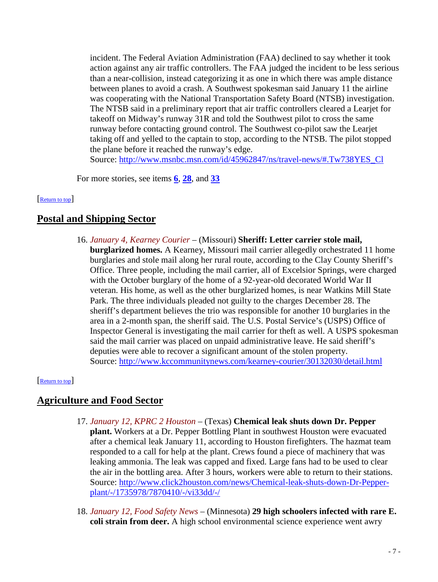incident. The Federal Aviation Administration (FAA) declined to say whether it took action against any air traffic controllers. The FAA judged the incident to be less serious than a near-collision, instead categorizing it as one in which there was ample distance between planes to avoid a crash. A Southwest spokesman said January 11 the airline was cooperating with the National Transportation Safety Board (NTSB) investigation. The NTSB said in a preliminary report that air traffic controllers cleared a Learjet for takeoff on Midway's runway 31R and told the Southwest pilot to cross the same runway before contacting ground control. The Southwest co-pilot saw the Learjet taking off and yelled to the captain to stop, according to the NTSB. The pilot stopped the plane before it reached the runway's edge.

Source: [http://www.msnbc.msn.com/id/45962847/ns/travel-news/#.Tw738YES\\_Cl](http://www.msnbc.msn.com/id/45962847/ns/travel-news/#.Tw738YES_Cl)

<span id="page-6-0"></span>For more stories, see items **[6](#page-2-2)**, **[28](#page-10-0)**, and **[33](#page-11-1)**

### Return to top

# **Postal and Shipping Sector**

16. *January 4, Kearney Courier* – (Missouri) **Sheriff: Letter carrier stole mail, burglarized homes.** A Kearney, Missouri mail carrier allegedly orchestrated 11 home burglaries and stole mail along her rural route, according to the Clay County Sheriff's Office. Three people, including the mail carrier, all of Excelsior Springs, were charged with the October burglary of the home of a 92-year-old decorated World War II veteran. His home, as well as the other burglarized homes, is near Watkins Mill State Park. The three individuals pleaded not guilty to the charges December 28. The sheriff's department believes the trio was responsible for another 10 burglaries in the area in a 2-month span, the sheriff said. The U.S. Postal Service's (USPS) Office of Inspector General is investigating the mail carrier for theft as well. A USPS spokesman said the mail carrier was placed on unpaid administrative leave. He said sheriff's deputies were able to recover a significant amount of the stolen property. Source:<http://www.kccommunitynews.com/kearney-courier/30132030/detail.html>

### <span id="page-6-1"></span>[Return to top]

# **Agriculture and Food Sector**

- 17. *January 12, KPRC 2 Houston* (Texas) **Chemical leak shuts down Dr. Pepper plant.** Workers at a Dr. Pepper Bottling Plant in southwest Houston were evacuated after a chemical leak January 11, according to Houston firefighters. The hazmat team responded to a call for help at the plant. Crews found a piece of machinery that was leaking ammonia. The leak was capped and fixed. Large fans had to be used to clear the air in the bottling area. After 3 hours, workers were able to return to their stations. Source: [http://www.click2houston.com/news/Chemical-leak-shuts-down-Dr-Pepper](http://www.click2houston.com/news/Chemical-leak-shuts-down-Dr-Pepper-plant/-/1735978/7870410/-/vi33dd/-/)[plant/-/1735978/7870410/-/vi33dd/-/](http://www.click2houston.com/news/Chemical-leak-shuts-down-Dr-Pepper-plant/-/1735978/7870410/-/vi33dd/-/)
- 18. *January 12, Food Safety News* (Minnesota) **29 high schoolers infected with rare E. coli strain from deer.** A high school environmental science experience went awry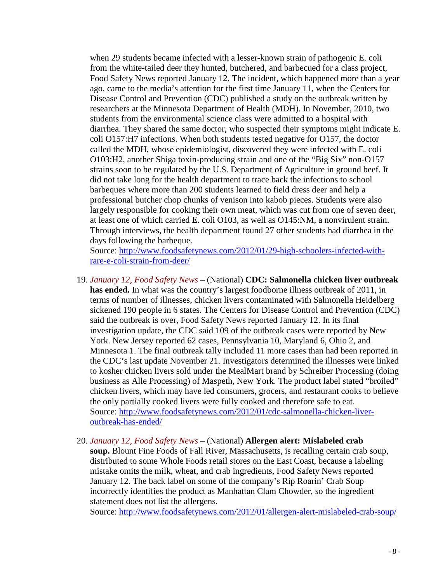when 29 students became infected with a lesser-known strain of pathogenic E. coli from the white-tailed deer they hunted, butchered, and barbecued for a class project, Food Safety News reported January 12. The incident, which happened more than a year ago, came to the media's attention for the first time January 11, when the Centers for Disease Control and Prevention (CDC) published a study on the outbreak written by researchers at the Minnesota Department of Health (MDH). In November, 2010, two students from the environmental science class were admitted to a hospital with diarrhea. They shared the same doctor, who suspected their symptoms might indicate E. coli O157:H7 infections. When both students tested negative for O157, the doctor called the MDH, whose epidemiologist, discovered they were infected with E. coli O103:H2, another Shiga toxin-producing strain and one of the "Big Six" non-O157 strains soon to be regulated by the U.S. Department of Agriculture in ground beef. It did not take long for the health department to trace back the infections to school barbeques where more than 200 students learned to field dress deer and help a professional butcher chop chunks of venison into kabob pieces. Students were also largely responsible for cooking their own meat, which was cut from one of seven deer, at least one of which carried E. coli O103, as well as O145:NM, a nonvirulent strain. Through interviews, the health department found 27 other students had diarrhea in the days following the barbeque.

Source: [http://www.foodsafetynews.com/2012/01/29-high-schoolers-infected-with](http://www.foodsafetynews.com/2012/01/29-high-schoolers-infected-with-rare-e-coli-strain-from-deer/)[rare-e-coli-strain-from-deer/](http://www.foodsafetynews.com/2012/01/29-high-schoolers-infected-with-rare-e-coli-strain-from-deer/)

- 19. *January 12, Food Safety News* (National) **CDC: Salmonella chicken liver outbreak has ended.** In what was the country's largest foodborne illness outbreak of 2011, in terms of number of illnesses, chicken livers contaminated with Salmonella Heidelberg sickened 190 people in 6 states. The Centers for Disease Control and Prevention (CDC) said the outbreak is over, Food Safety News reported January 12. In its final investigation update, the CDC said 109 of the outbreak cases were reported by New York. New Jersey reported 62 cases, Pennsylvania 10, Maryland 6, Ohio 2, and Minnesota 1. The final outbreak tally included 11 more cases than had been reported in the CDC's last update November 21. Investigators determined the illnesses were linked to kosher chicken livers sold under the MealMart brand by Schreiber Processing (doing business as Alle Processing) of Maspeth, New York. The product label stated "broiled" chicken livers, which may have led consumers, grocers, and restaurant cooks to believe the only partially cooked livers were fully cooked and therefore safe to eat. Source: [http://www.foodsafetynews.com/2012/01/cdc-salmonella-chicken-liver](http://www.foodsafetynews.com/2012/01/cdc-salmonella-chicken-liver-outbreak-has-ended/)[outbreak-has-ended/](http://www.foodsafetynews.com/2012/01/cdc-salmonella-chicken-liver-outbreak-has-ended/)
- 20. *January 12, Food Safety News* (National) **Allergen alert: Mislabeled crab soup.** Blount Fine Foods of Fall River, Massachusetts, is recalling certain crab soup, distributed to some Whole Foods retail stores on the East Coast, because a labeling mistake omits the milk, wheat, and crab ingredients, Food Safety News reported January 12. The back label on some of the company's Rip Roarin' Crab Soup incorrectly identifies the product as Manhattan Clam Chowder, so the ingredient statement does not list the allergens.

Source:<http://www.foodsafetynews.com/2012/01/allergen-alert-mislabeled-crab-soup/>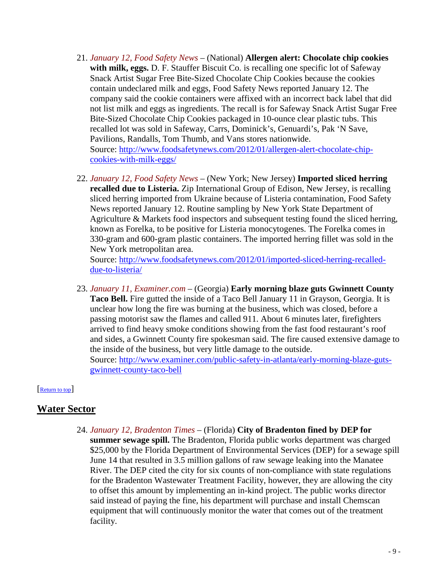- 21. *January 12, Food Safety News* (National) **Allergen alert: Chocolate chip cookies with milk, eggs.** D. F. Stauffer Biscuit Co. is recalling one specific lot of Safeway Snack Artist Sugar Free Bite-Sized Chocolate Chip Cookies because the cookies contain undeclared milk and eggs, Food Safety News reported January 12. The company said the cookie containers were affixed with an incorrect back label that did not list milk and eggs as ingredients. The recall is for Safeway Snack Artist Sugar Free Bite-Sized Chocolate Chip Cookies packaged in 10-ounce clear plastic tubs. This recalled lot was sold in Safeway, Carrs, Dominick's, Genuardi's, Pak 'N Save, Pavilions, Randalls, Tom Thumb, and Vans stores nationwide. Source: [http://www.foodsafetynews.com/2012/01/allergen-alert-chocolate-chip](http://www.foodsafetynews.com/2012/01/allergen-alert-chocolate-chip-cookies-with-milk-eggs/)[cookies-with-milk-eggs/](http://www.foodsafetynews.com/2012/01/allergen-alert-chocolate-chip-cookies-with-milk-eggs/)
- 22. *January 12, Food Safety News* (New York; New Jersey) **Imported sliced herring recalled due to Listeria.** Zip International Group of Edison, New Jersey, is recalling sliced herring imported from Ukraine because of Listeria contamination, Food Safety News reported January 12. Routine sampling by New York State Department of Agriculture & Markets food inspectors and subsequent testing found the sliced herring, known as Forelka, to be positive for Listeria monocytogenes. The Forelka comes in 330-gram and 600-gram plastic containers. The imported herring fillet was sold in the New York metropolitan area.

Source: [http://www.foodsafetynews.com/2012/01/imported-sliced-herring-recalled](http://www.foodsafetynews.com/2012/01/imported-sliced-herring-recalled-due-to-listeria/)[due-to-listeria/](http://www.foodsafetynews.com/2012/01/imported-sliced-herring-recalled-due-to-listeria/)

23. *January 11, Examiner.com* – (Georgia) **Early morning blaze guts Gwinnett County Taco Bell.** Fire gutted the inside of a Taco Bell January 11 in Grayson, Georgia. It is unclear how long the fire was burning at the business, which was closed, before a passing motorist saw the flames and called 911. About 6 minutes later, firefighters arrived to find heavy smoke conditions showing from the fast food restaurant's roof and sides, a Gwinnett County fire spokesman said. The fire caused extensive damage to the inside of the business, but very little damage to the outside. Source: [http://www.examiner.com/public-safety-in-atlanta/early-morning-blaze-guts](http://www.examiner.com/public-safety-in-atlanta/early-morning-blaze-guts-gwinnett-county-taco-bell)[gwinnett-county-taco-bell](http://www.examiner.com/public-safety-in-atlanta/early-morning-blaze-guts-gwinnett-county-taco-bell)

<span id="page-8-0"></span>[Return to top]

# **Water Sector**

24. *January 12, Bradenton Times* – (Florida) **City of Bradenton fined by DEP for summer sewage spill.** The Bradenton, Florida public works department was charged \$25,000 by the Florida Department of Environmental Services (DEP) for a sewage spill June 14 that resulted in 3.5 million gallons of raw sewage leaking into the Manatee River. The DEP cited the city for six counts of non-compliance with state regulations for the Bradenton Wastewater Treatment Facility, however, they are allowing the city to offset this amount by implementing an in-kind project. The public works director said instead of paying the fine, his department will purchase and install Chemscan equipment that will continuously monitor the water that comes out of the treatment facility.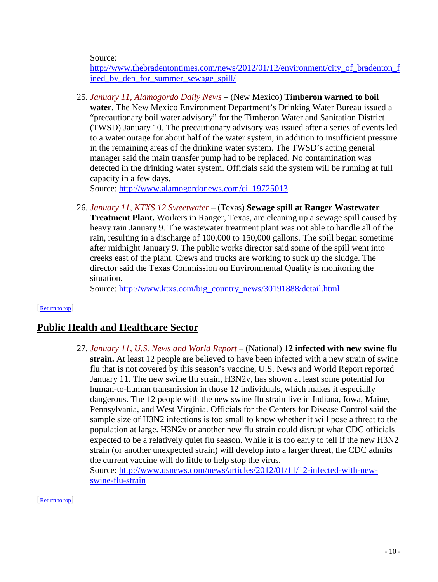Source:

[http://www.thebradentontimes.com/news/2012/01/12/environment/city\\_of\\_bradenton\\_f](http://www.thebradentontimes.com/news/2012/01/12/environment/city_of_bradenton_fined_by_dep_for_summer_sewage_spill/) ined by dep for summer sewage spill/

25. *January 11, Alamogordo Daily News* – (New Mexico) **Timberon warned to boil water.** The New Mexico Environment Department's Drinking Water Bureau issued a "precautionary boil water advisory" for the Timberon Water and Sanitation District (TWSD) January 10. The precautionary advisory was issued after a series of events led to a water outage for about half of the water system, in addition to insufficient pressure in the remaining areas of the drinking water system. The TWSD's acting general manager said the main transfer pump had to be replaced. No contamination was detected in the drinking water system. Officials said the system will be running at full capacity in a few days.

Source: [http://www.alamogordonews.com/ci\\_19725013](http://www.alamogordonews.com/ci_19725013)

26. *January 11, KTXS 12 Sweetwater* – (Texas) **Sewage spill at Ranger Wastewater Treatment Plant.** Workers in Ranger, Texas, are cleaning up a sewage spill caused by heavy rain January 9. The wastewater treatment plant was not able to handle all of the rain, resulting in a discharge of 100,000 to 150,000 gallons. The spill began sometime after midnight January 9. The public works director said some of the spill went into creeks east of the plant. Crews and trucks are working to suck up the sludge. The director said the Texas Commission on Environmental Quality is monitoring the situation.

<span id="page-9-2"></span>Source: [http://www.ktxs.com/big\\_country\\_news/30191888/detail.html](http://www.ktxs.com/big_country_news/30191888/detail.html)

### [Return to top]

# <span id="page-9-0"></span>**Public Health and Healthcare Sector**

27. *January 11, U.S. News and World Report* – (National) **12 infected with new swine flu strain.** At least 12 people are believed to have been infected with a new strain of swine flu that is not covered by this season's vaccine, U.S. News and World Report reported January 11. The new swine flu strain, H3N2v, has shown at least some potential for human-to-human transmission in those 12 individuals, which makes it especially dangerous. The 12 people with the new swine flu strain live in Indiana, Iowa, Maine, Pennsylvania, and West Virginia. Officials for the Centers for Disease Control said the sample size of H3N2 infections is too small to know whether it will pose a threat to the population at large. H3N2v or another new flu strain could disrupt what CDC officials expected to be a relatively quiet flu season. While it is too early to tell if the new H3N2 strain (or another unexpected strain) will develop into a larger threat, the CDC admits the current vaccine will do little to help stop the virus. Source: [http://www.usnews.com/news/articles/2012/01/11/12-infected-with-new](http://www.usnews.com/news/articles/2012/01/11/12-infected-with-new-swine-flu-strain)[swine-flu-strain](http://www.usnews.com/news/articles/2012/01/11/12-infected-with-new-swine-flu-strain)

<span id="page-9-1"></span>[Return to top]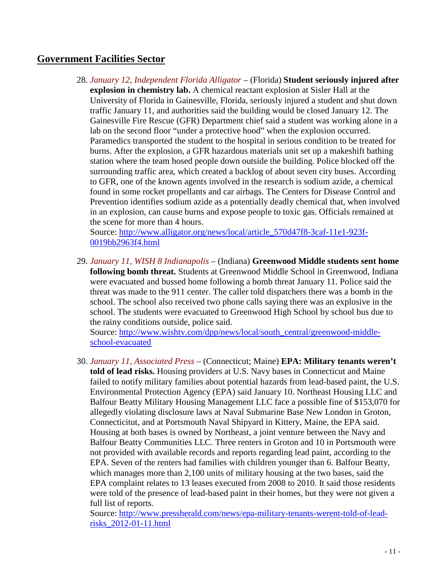# <span id="page-10-0"></span>**Government Facilities Sector**

28. *January 12, Independent Florida Alligator* – (Florida) **Student seriously injured after explosion in chemistry lab.** A chemical reactant explosion at Sisler Hall at the University of Florida in Gainesville, Florida, seriously injured a student and shut down traffic January 11, and authorities said the building would be closed January 12. The Gainesville Fire Rescue (GFR) Department chief said a student was working alone in a lab on the second floor "under a protective hood" when the explosion occurred. Paramedics transported the student to the hospital in serious condition to be treated for burns. After the explosion, a GFR hazardous materials unit set up a makeshift bathing station where the team hosed people down outside the building. Police blocked off the surrounding traffic area, which created a backlog of about seven city buses. According to GFR, one of the known agents involved in the research is sodium azide, a chemical found in some rocket propellants and car airbags. The Centers for Disease Control and Prevention identifies sodium azide as a potentially deadly chemical that, when involved in an explosion, can cause burns and expose people to toxic gas. Officials remained at the scene for more than 4 hours.

Source: [http://www.alligator.org/news/local/article\\_570d47f8-3caf-11e1-923f-](http://www.alligator.org/news/local/article_570d47f8-3caf-11e1-923f-0019bb2963f4.html)[0019bb2963f4.html](http://www.alligator.org/news/local/article_570d47f8-3caf-11e1-923f-0019bb2963f4.html)

29. *January 11, WISH 8 Indianapolis* – (Indiana) **Greenwood Middle students sent home following bomb threat.** Students at Greenwood Middle School in Greenwood, Indiana were evacuated and bussed home following a bomb threat January 11. Police said the threat was made to the 911 center. The caller told dispatchers there was a bomb in the school. The school also received two phone calls saying there was an explosive in the school. The students were evacuated to Greenwood High School by school bus due to the rainy conditions outside, police said.

Source: [http://www.wishtv.com/dpp/news/local/south\\_central/greenwood-middle](http://www.wishtv.com/dpp/news/local/south_central/greenwood-middle-school-evacuated)[school-evacuated](http://www.wishtv.com/dpp/news/local/south_central/greenwood-middle-school-evacuated)

30. *January 11, Associated Press* – (Connecticut; Maine) **EPA: Military tenants weren't told of lead risks.** Housing providers at U.S. Navy bases in Connecticut and Maine failed to notify military families about potential hazards from lead-based paint, the U.S. Environmental Protection Agency (EPA) said January 10. Northeast Housing LLC and Balfour Beatty Military Housing Management LLC face a possible fine of \$153,070 for allegedly violating disclosure laws at Naval Submarine Base New London in Groton, Connecticitut, and at Portsmouth Naval Shipyard in Kittery, Maine, the EPA said. Housing at both bases is owned by Northeast, a joint venture between the Navy and Balfour Beatty Communities LLC. Three renters in Groton and 10 in Portsmouth were not provided with available records and reports regarding lead paint, according to the EPA. Seven of the renters had families with children younger than 6. Balfour Beatty, which manages more than 2,100 units of military housing at the two bases, said the EPA complaint relates to 13 leases executed from 2008 to 2010. It said those residents were told of the presence of lead-based paint in their homes, but they were not given a full list of reports.

Source: [http://www.pressherald.com/news/epa-military-tenants-werent-told-of-lead](http://www.pressherald.com/news/epa-military-tenants-werent-told-of-lead-risks_2012-01-11.html)[risks\\_2012-01-11.html](http://www.pressherald.com/news/epa-military-tenants-werent-told-of-lead-risks_2012-01-11.html)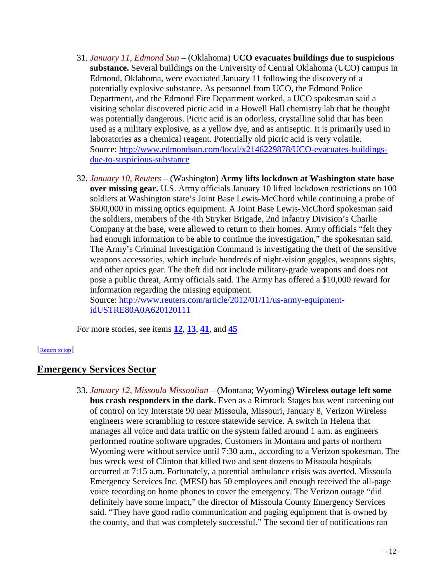- 31. *January 11, Edmond Sun* (Oklahoma) **UCO evacuates buildings due to suspicious substance.** Several buildings on the University of Central Oklahoma (UCO) campus in Edmond, Oklahoma, were evacuated January 11 following the discovery of a potentially explosive substance. As personnel from UCO, the Edmond Police Department, and the Edmond Fire Department worked, a UCO spokesman said a visiting scholar discovered picric acid in a Howell Hall chemistry lab that he thought was potentially dangerous. Picric acid is an odorless, crystalline solid that has been used as a military explosive, as a yellow dye, and as antiseptic. It is primarily used in laboratories as a chemical reagent. Potentially old picric acid is very volatile. Source: [http://www.edmondsun.com/local/x2146229878/UCO-evacuates-buildings](http://www.edmondsun.com/local/x2146229878/UCO-evacuates-buildings-due-to-suspicious-substance)[due-to-suspicious-substance](http://www.edmondsun.com/local/x2146229878/UCO-evacuates-buildings-due-to-suspicious-substance)
- 32. *January 10, Reuters* (Washington) **Army lifts lockdown at Washington state base over missing gear.** U.S. Army officials January 10 lifted lockdown restrictions on 100 soldiers at Washington state's Joint Base Lewis-McChord while continuing a probe of \$600,000 in missing optics equipment. A Joint Base Lewis-McChord spokesman said the soldiers, members of the 4th Stryker Brigade, 2nd Infantry Division's Charlie Company at the base, were allowed to return to their homes. Army officials "felt they had enough information to be able to continue the investigation," the spokesman said. The Army's Criminal Investigation Command is investigating the theft of the sensitive weapons accessories, which include hundreds of night-vision goggles, weapons sights, and other optics gear. The theft did not include military-grade weapons and does not pose a public threat, Army officials said. The Army has offered a \$10,000 reward for information regarding the missing equipment. Source: [http://www.reuters.com/article/2012/01/11/us-army-equipment](http://www.reuters.com/article/2012/01/11/us-army-equipment-idUSTRE80A0A620120111)[idUSTRE80A0A620120111](http://www.reuters.com/article/2012/01/11/us-army-equipment-idUSTRE80A0A620120111)

<span id="page-11-0"></span>For more stories, see items **[12](#page-4-1)**, **[13](#page-4-0)**, **[41](#page-14-1)**, and **[45](#page-16-0)**

### [Return to top]

# <span id="page-11-1"></span>**Emergency Services Sector**

33. *January 12, Missoula Missoulian* – (Montana; Wyoming) **Wireless outage left some bus crash responders in the dark.** Even as a Rimrock Stages bus went careening out of control on icy Interstate 90 near Missoula, Missouri, January 8, Verizon Wireless engineers were scrambling to restore statewide service. A switch in Helena that manages all voice and data traffic on the system failed around 1 a.m. as engineers performed routine software upgrades. Customers in Montana and parts of northern Wyoming were without service until 7:30 a.m., according to a Verizon spokesman. The bus wreck west of Clinton that killed two and sent dozens to Missoula hospitals occurred at 7:15 a.m. Fortunately, a potential ambulance crisis was averted. Missoula Emergency Services Inc. (MESI) has 50 employees and enough received the all-page voice recording on home phones to cover the emergency. The Verizon outage "did definitely have some impact," the director of Missoula County Emergency Services said. "They have good radio communication and paging equipment that is owned by the county, and that was completely successful." The second tier of notifications ran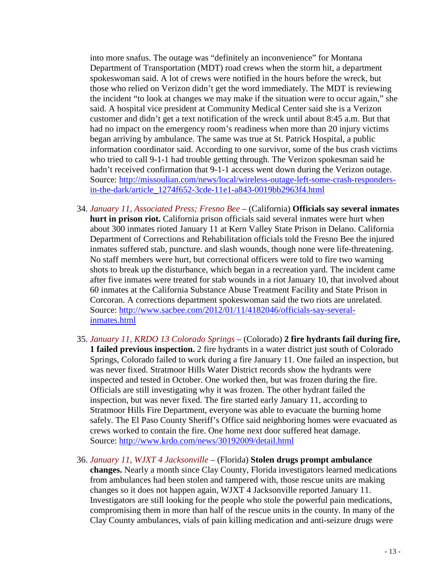into more snafus. The outage was "definitely an inconvenience" for Montana Department of Transportation (MDT) road crews when the storm hit, a department spokeswoman said. A lot of crews were notified in the hours before the wreck, but those who relied on Verizon didn't get the word immediately. The MDT is reviewing the incident "to look at changes we may make if the situation were to occur again," she said. A hospital vice president at Community Medical Center said she is a Verizon customer and didn't get a text notification of the wreck until about 8:45 a.m. But that had no impact on the emergency room's readiness when more than 20 injury victims began arriving by ambulance. The same was true at St. Patrick Hospital, a public information coordinator said. According to one survivor, some of the bus crash victims who tried to call 9-1-1 had trouble getting through. The Verizon spokesman said he hadn't received confirmation that 9-1-1 access went down during the Verizon outage. Source: [http://missoulian.com/news/local/wireless-outage-left-some-crash-responders](http://missoulian.com/news/local/wireless-outage-left-some-crash-responders-in-the-dark/article_1274f652-3cde-11e1-a843-0019bb2963f4.html)[in-the-dark/article\\_1274f652-3cde-11e1-a843-0019bb2963f4.html](http://missoulian.com/news/local/wireless-outage-left-some-crash-responders-in-the-dark/article_1274f652-3cde-11e1-a843-0019bb2963f4.html)

- 34. *January 11, Associated Press; Fresno Bee* (California) **Officials say several inmates hurt in prison riot.** California prison officials said several inmates were hurt when about 300 inmates rioted January 11 at Kern Valley State Prison in Delano. California Department of Corrections and Rehabilitation officials told the Fresno Bee the injured inmates suffered stab, puncture. and slash wounds, though none were life-threatening. No staff members were hurt, but correctional officers were told to fire two warning shots to break up the disturbance, which began in a recreation yard. The incident came after five inmates were treated for stab wounds in a riot January 10, that involved about 60 inmates at the California Substance Abuse Treatment Facility and State Prison in Corcoran. A corrections department spokeswoman said the two riots are unrelated. Source: [http://www.sacbee.com/2012/01/11/4182046/officials-say-several](http://www.sacbee.com/2012/01/11/4182046/officials-say-several-inmates.html)[inmates.html](http://www.sacbee.com/2012/01/11/4182046/officials-say-several-inmates.html)
- 35. *January 11, KRDO 13 Colorado Springs* (Colorado) **2 fire hydrants fail during fire, 1 failed previous inspection.** 2 fire hydrants in a water district just south of Colorado Springs, Colorado failed to work during a fire January 11. One failed an inspection, but was never fixed. Stratmoor Hills Water District records show the hydrants were inspected and tested in October. One worked then, but was frozen during the fire. Officials are still investigating why it was frozen. The other hydrant failed the inspection, but was never fixed. The fire started early January 11, according to Stratmoor Hills Fire Department, everyone was able to evacuate the burning home safely. The El Paso County Sheriff's Office said neighboring homes were evacuated as crews worked to contain the fire. One home next door suffered heat damage. Source:<http://www.krdo.com/news/30192009/detail.html>
- 36. *January 11, WJXT 4 Jacksonville* (Florida) **Stolen drugs prompt ambulance changes.** Nearly a month since Clay County, Florida investigators learned medications from ambulances had been stolen and tampered with, those rescue units are making changes so it does not happen again, WJXT 4 Jacksonville reported January 11. Investigators are still looking for the people who stole the powerful pain medications, compromising them in more than half of the rescue units in the county. In many of the Clay County ambulances, vials of pain killing medication and anti-seizure drugs were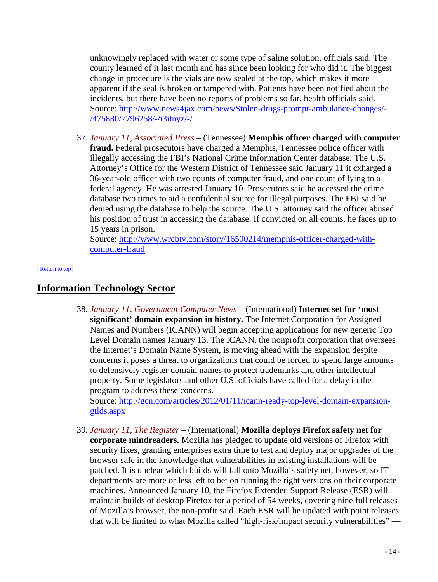unknowingly replaced with water or some type of saline solution, officials said. The county learned of it last month and has since been looking for who did it. The biggest change in procedure is the vials are now sealed at the top, which makes it more apparent if the seal is broken or tampered with. Patients have been notified about the incidents, but there have been no reports of problems so far, health officials said. Source: [http://www.news4jax.com/news/Stolen-drugs-prompt-ambulance-changes/-](http://www.news4jax.com/news/Stolen-drugs-prompt-ambulance-changes/-/475880/7796258/-/i3itnyz/-/) [/475880/7796258/-/i3itnyz/-/](http://www.news4jax.com/news/Stolen-drugs-prompt-ambulance-changes/-/475880/7796258/-/i3itnyz/-/)

37. *January 11, Associated Press* – (Tennessee) **Memphis officer charged with computer fraud.** Federal prosecutors have charged a Memphis, Tennessee police officer with illegally accessing the FBI's National Crime Information Center database. The U.S. Attorney's Office for the Western District of Tennessee said January 11 it cxharged a 36-year-old officer with two counts of computer fraud, and one count of lying to a federal agency. He was arrested January 10. Prosecutors said he accessed the crime database two times to aid a confidential source for illegal purposes. The FBI said he denied using the database to help the source. The U.S. attorney said the officer abused his position of trust in accessing the database. If convicted on all counts, he faces up to 15 years in prison.

<span id="page-13-0"></span>Source: [http://www.wrcbtv.com/story/16500214/memphis-officer-charged-with](http://www.wrcbtv.com/story/16500214/memphis-officer-charged-with-computer-fraud)[computer-fraud](http://www.wrcbtv.com/story/16500214/memphis-officer-charged-with-computer-fraud)

### [Return to top]

# **Information Technology Sector**

38. *January 11, Government Computer News* – (International) **Internet set for 'most significant' domain expansion in history.** The Internet Corporation for Assigned Names and Numbers (ICANN) will begin accepting applications for new generic Top Level Domain names January 13. The ICANN, the nonprofit corporation that oversees the Internet's Domain Name System, is moving ahead with the expansion despite concerns it poses a threat to organizations that could be forced to spend large amounts to defensively register domain names to protect trademarks and other intellectual property. Some legislators and other U.S. officials have called for a delay in the program to address these concerns.

Source: [http://gcn.com/articles/2012/01/11/icann-ready-top-level-domain-expansion](http://gcn.com/articles/2012/01/11/icann-ready-top-level-domain-expansion-gtlds.aspx)[gtlds.aspx](http://gcn.com/articles/2012/01/11/icann-ready-top-level-domain-expansion-gtlds.aspx)

39. *January 11, The Register* – (International) **Mozilla deploys Firefox safety net for corporate mindreaders.** Mozilla has pledged to update old versions of Firefox with security fixes, granting enterprises extra time to test and deploy major upgrades of the browser safe in the knowledge that vulnerabilities in existing installations will be patched. It is unclear which builds will fall onto Mozilla's safety net, however, so IT departments are more or less left to bet on running the right versions on their corporate machines. Announced January 10, the Firefox Extended Support Release (ESR) will maintain builds of desktop Firefox for a period of 54 weeks, covering nine full releases of Mozilla's browser, the non-profit said. Each ESR will be updated with point releases that will be limited to what Mozilla called "high-risk/impact security vulnerabilities" —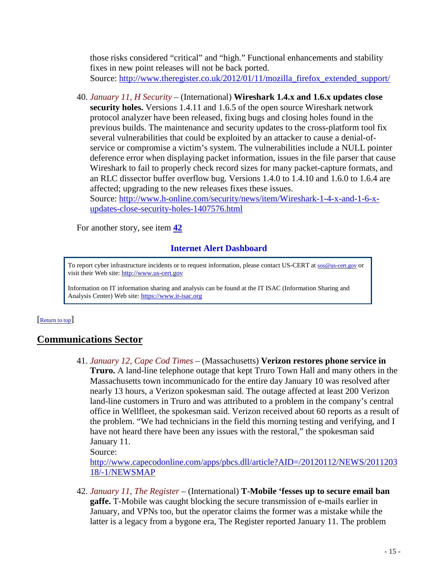those risks considered "critical" and "high." Functional enhancements and stability fixes in new point releases will not be back ported. Source: [http://www.theregister.co.uk/2012/01/11/mozilla\\_firefox\\_extended\\_support/](http://www.theregister.co.uk/2012/01/11/mozilla_firefox_extended_support/)

40. *January 11, H Security* – (International) **Wireshark 1.4.x and 1.6.x updates close security holes.** Versions 1.4.11 and 1.6.5 of the open source Wireshark network protocol analyzer have been released, fixing bugs and closing holes found in the previous builds. The maintenance and security updates to the cross-platform tool fix several vulnerabilities that could be exploited by an attacker to cause a denial-ofservice or compromise a victim's system. The vulnerabilities include a NULL pointer deference error when displaying packet information, issues in the file parser that cause Wireshark to fail to properly check record sizes for many packet-capture formats, and an RLC dissector buffer overflow bug. Versions 1.4.0 to 1.4.10 and 1.6.0 to 1.6.4 are affected; upgrading to the new releases fixes these issues. Source: [http://www.h-online.com/security/news/item/Wireshark-1-4-x-and-1-6-x-](http://www.h-online.com/security/news/item/Wireshark-1-4-x-and-1-6-x-updates-close-security-holes-1407576.html)

[updates-close-security-holes-1407576.html](http://www.h-online.com/security/news/item/Wireshark-1-4-x-and-1-6-x-updates-close-security-holes-1407576.html)

For another story, see item **[42](#page-14-2)**

## **Internet Alert Dashboard**

To report cyber infrastructure incidents or to request information, please contact US-CERT at [sos@us-cert.gov](mailto:sos@us-cert.gov) or visit their Web site[: http://www.us-cert.gov](http://www.us-cert.gov/)

<span id="page-14-0"></span>Information on IT information sharing and analysis can be found at the IT ISAC (Information Sharing and Analysis Center) Web site: [https://www.it-isac.org](https://www.it-isac.org/) 

### [Return to top]

# <span id="page-14-1"></span>**Communications Sector**

41. *January 12, Cape Cod Times* – (Massachusetts) **Verizon restores phone service in Truro.** A land-line telephone outage that kept Truro Town Hall and many others in the Massachusetts town incommunicado for the entire day January 10 was resolved after nearly 13 hours, a Verizon spokesman said. The outage affected at least 200 Verizon land-line customers in Truro and was attributed to a problem in the company's central office in Wellfleet, the spokesman said. Verizon received about 60 reports as a result of the problem. "We had technicians in the field this morning testing and verifying, and I have not heard there have been any issues with the restoral," the spokesman said January 11.

Source:

[http://www.capecodonline.com/apps/pbcs.dll/article?AID=/20120112/NEWS/2011203](http://www.capecodonline.com/apps/pbcs.dll/article?AID=/20120112/NEWS/201120318/-1/NEWSMAP) [18/-1/NEWSMAP](http://www.capecodonline.com/apps/pbcs.dll/article?AID=/20120112/NEWS/201120318/-1/NEWSMAP)

<span id="page-14-2"></span>42. *January 11, The Register* – (International) **T-Mobile 'fesses up to secure email ban gaffe.** T-Mobile was caught blocking the secure transmission of e-mails earlier in January, and VPNs too, but the operator claims the former was a mistake while the latter is a legacy from a bygone era, The Register reported January 11. The problem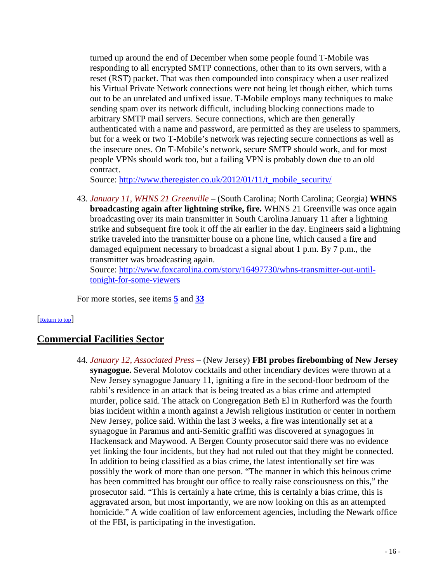turned up around the end of December when some people found T-Mobile was responding to all encrypted SMTP connections, other than to its own servers, with a reset (RST) packet. That was then compounded into conspiracy when a user realized his Virtual Private Network connections were not being let though either, which turns out to be an unrelated and unfixed issue. T-Mobile employs many techniques to make sending spam over its network difficult, including blocking connections made to arbitrary SMTP mail servers. Secure connections, which are then generally authenticated with a name and password, are permitted as they are useless to spammers, but for a week or two T-Mobile's network was rejecting secure connections as well as the insecure ones. On T-Mobile's network, secure SMTP should work, and for most people VPNs should work too, but a failing VPN is probably down due to an old contract.

Source: [http://www.theregister.co.uk/2012/01/11/t\\_mobile\\_security/](http://www.theregister.co.uk/2012/01/11/t_mobile_security/)

43. *January 11, WHNS 21 Greenville* – (South Carolina; North Carolina; Georgia) **WHNS broadcasting again after lightning strike, fire.** WHNS 21 Greenville was once again broadcasting over its main transmitter in South Carolina January 11 after a lightning strike and subsequent fire took it off the air earlier in the day. Engineers said a lightning strike traveled into the transmitter house on a phone line, which caused a fire and damaged equipment necessary to broadcast a signal about 1 p.m. By 7 p.m., the transmitter was broadcasting again.

Source: [http://www.foxcarolina.com/story/16497730/whns-transmitter-out-until](http://www.foxcarolina.com/story/16497730/whns-transmitter-out-until-tonight-for-some-viewers)[tonight-for-some-viewers](http://www.foxcarolina.com/story/16497730/whns-transmitter-out-until-tonight-for-some-viewers)

<span id="page-15-0"></span>For more stories, see items **[5](#page-2-3)** and **[33](#page-11-1)**

#### [Return to top]

### **Commercial Facilities Sector**

44. *January 12, Associated Press* – (New Jersey) **FBI probes firebombing of New Jersey synagogue.** Several Molotov cocktails and other incendiary devices were thrown at a New Jersey synagogue January 11, igniting a fire in the second-floor bedroom of the rabbi's residence in an attack that is being treated as a bias crime and attempted murder, police said. The attack on Congregation Beth El in Rutherford was the fourth bias incident within a month against a Jewish religious institution or center in northern New Jersey, police said. Within the last 3 weeks, a fire was intentionally set at a synagogue in Paramus and anti-Semitic graffiti was discovered at synagogues in Hackensack and Maywood. A Bergen County prosecutor said there was no evidence yet linking the four incidents, but they had not ruled out that they might be connected. In addition to being classified as a bias crime, the latest intentionally set fire was possibly the work of more than one person. "The manner in which this heinous crime has been committed has brought our office to really raise consciousness on this," the prosecutor said. "This is certainly a hate crime, this is certainly a bias crime, this is aggravated arson, but most importantly, we are now looking on this as an attempted homicide." A wide coalition of law enforcement agencies, including the Newark office of the FBI, is participating in the investigation.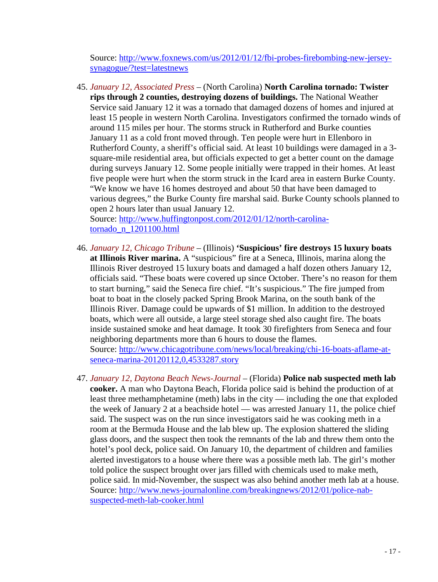Source: [http://www.foxnews.com/us/2012/01/12/fbi-probes-firebombing-new-jersey](http://www.foxnews.com/us/2012/01/12/fbi-probes-firebombing-new-jersey-synagogue/?test=latestnews)[synagogue/?test=latestnews](http://www.foxnews.com/us/2012/01/12/fbi-probes-firebombing-new-jersey-synagogue/?test=latestnews)

<span id="page-16-0"></span>45. *January 12, Associated Press* – (North Carolina) **North Carolina tornado: Twister rips through 2 counties, destroying dozens of buildings.** The National Weather Service said January 12 it was a tornado that damaged dozens of homes and injured at least 15 people in western North Carolina. Investigators confirmed the tornado winds of around 115 miles per hour. The storms struck in Rutherford and Burke counties January 11 as a cold front moved through. Ten people were hurt in Ellenboro in Rutherford County, a sheriff's official said. At least 10 buildings were damaged in a 3 square-mile residential area, but officials expected to get a better count on the damage during surveys January 12. Some people initially were trapped in their homes. At least five people were hurt when the storm struck in the Icard area in eastern Burke County. "We know we have 16 homes destroyed and about 50 that have been damaged to various degrees," the Burke County fire marshal said. Burke County schools planned to open 2 hours later than usual January 12.

Source: [http://www.huffingtonpost.com/2012/01/12/north-carolina](http://www.huffingtonpost.com/2012/01/12/north-carolina-tornado_n_1201100.html)[tornado\\_n\\_1201100.html](http://www.huffingtonpost.com/2012/01/12/north-carolina-tornado_n_1201100.html)

- 46. *January 12, Chicago Tribune* (Illinois) **'Suspicious' fire destroys 15 luxury boats at Illinois River marina.** A "suspicious" fire at a Seneca, Illinois, marina along the Illinois River destroyed 15 luxury boats and damaged a half dozen others January 12, officials said. "These boats were covered up since October. There's no reason for them to start burning," said the Seneca fire chief. "It's suspicious." The fire jumped from boat to boat in the closely packed Spring Brook Marina, on the south bank of the Illinois River. Damage could be upwards of \$1 million. In addition to the destroyed boats, which were all outside, a large steel storage shed also caught fire. The boats inside sustained smoke and heat damage. It took 30 firefighters from Seneca and four neighboring departments more than 6 hours to douse the flames. Source: [http://www.chicagotribune.com/news/local/breaking/chi-16-boats-aflame-at](http://www.chicagotribune.com/news/local/breaking/chi-16-boats-aflame-at-seneca-marina-20120112,0,4533287.story)[seneca-marina-20120112,0,4533287.story](http://www.chicagotribune.com/news/local/breaking/chi-16-boats-aflame-at-seneca-marina-20120112,0,4533287.story)
- 47. *January 12, Daytona Beach News-Journal* (Florida) **Police nab suspected meth lab cooker.** A man who Daytona Beach, Florida police said is behind the production of at least three methamphetamine (meth) labs in the city — including the one that exploded the week of January 2 at a beachside hotel — was arrested January 11, the police chief said. The suspect was on the run since investigators said he was cooking meth in a room at the Bermuda House and the lab blew up. The explosion shattered the sliding glass doors, and the suspect then took the remnants of the lab and threw them onto the hotel's pool deck, police said. On January 10, the department of children and families alerted investigators to a house where there was a possible meth lab. The girl's mother told police the suspect brought over jars filled with chemicals used to make meth, police said. In mid-November, the suspect was also behind another meth lab at a house. Source: [http://www.news-journalonline.com/breakingnews/2012/01/police-nab](http://www.news-journalonline.com/breakingnews/2012/01/police-nab-suspected-meth-lab-cooker.html)[suspected-meth-lab-cooker.html](http://www.news-journalonline.com/breakingnews/2012/01/police-nab-suspected-meth-lab-cooker.html)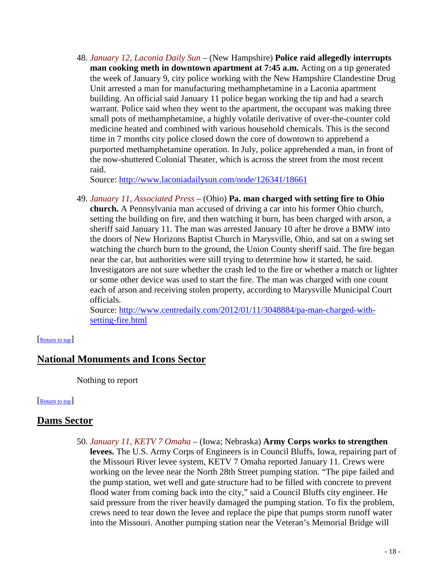48. *January 12, Laconia Daily Sun* – (New Hampshire) **Police raid allegedly interrupts man cooking meth in downtown apartment at 7:45 a.m.** Acting on a tip generated the week of January 9, city police working with the New Hampshire Clandestine Drug Unit arrested a man for manufacturing methamphetamine in a Laconia apartment building. An official said January 11 police began working the tip and had a search warrant. Police said when they went to the apartment, the occupant was making three small pots of methamphetamine, a highly volatile derivative of over-the-counter cold medicine heated and combined with various household chemicals. This is the second time in 7 months city police closed down the core of downtown to apprehend a purported methamphetamine operation. In July, police apprehended a man, in front of the now-shuttered Colonial Theater, which is across the street from the most recent raid.

Source:<http://www.laconiadailysun.com/node/126341/18661>

49. *January 11, Associated Press* – (Ohio) **Pa. man charged with setting fire to Ohio church.** A Pennsylvania man accused of driving a car into his former Ohio church, setting the building on fire, and then watching it burn, has been charged with arson, a sheriff said January 11. The man was arrested January 10 after he drove a BMW into the doors of New Horizons Baptist Church in Marysville, Ohio, and sat on a swing set watching the church burn to the ground, the Union County sheriff said. The fire began near the car, but authorities were still trying to determine how it started, he said. Investigators are not sure whether the crash led to the fire or whether a match or lighter or some other device was used to start the fire. The man was charged with one count each of arson and receiving stolen property, according to Marysville Municipal Court officials.

<span id="page-17-1"></span>Source: [http://www.centredaily.com/2012/01/11/3048884/pa-man-charged-with](http://www.centredaily.com/2012/01/11/3048884/pa-man-charged-with-setting-fire.html)[setting-fire.html](http://www.centredaily.com/2012/01/11/3048884/pa-man-charged-with-setting-fire.html)

### [Return to top]

# **National Monuments and Icons Sector**

<span id="page-17-0"></span>Nothing to report

### [Return to top]

### **Dams Sector**

50. *January 11, KETV 7 Omaha* – (Iowa; Nebraska) **Army Corps works to strengthen levees.** The U.S. Army Corps of Engineers is in Council Bluffs, Iowa, repairing part of the Missouri River levee system, KETV 7 Omaha reported January 11. Crews were working on the levee near the North 28th Street pumping station. "The pipe failed and the pump station, wet well and gate structure had to be filled with concrete to prevent flood water from coming back into the city," said a Council Bluffs city engineer. He said pressure from the river heavily damaged the pumping station. To fix the problem, crews need to tear down the levee and replace the pipe that pumps storm runoff water into the Missouri. Another pumping station near the Veteran's Memorial Bridge will